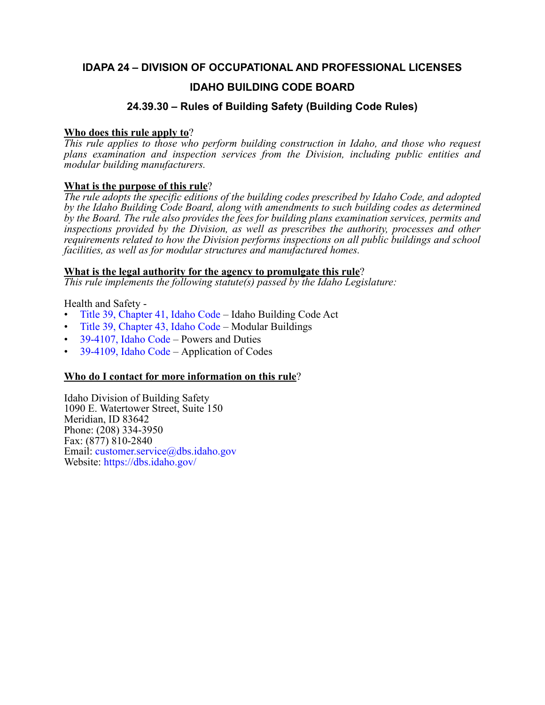### **IDAPA 24 – DIVISION OF OCCUPATIONAL AND PROFESSIONAL LICENSES**

### **IDAHO BUILDING CODE BOARD**

### **24.39.30 – Rules of Building Safety (Building Code Rules)**

#### **Who does this rule apply to**?

*This rule applies to those who perform building construction in Idaho, and those who request plans examination and inspection services from the Division, including public entities and modular building manufacturers.*

#### **What is the purpose of this rule**?

*The rule adopts the specific editions of the building codes prescribed by Idaho Code, and adopted by the Idaho Building Code Board, along with amendments to such building codes as determined by the Board. The rule also provides the fees for building plans examination services, permits and inspections provided by the Division, as well as prescribes the authority, processes and other requirements related to how the Division performs inspections on all public buildings and school facilities, as well as for modular structures and manufactured homes.*

#### **What is the legal authority for the agency to promulgate this rule**?

*This rule implements the following statute(s) passed by the Idaho Legislature:*

Health and Safety -

- [Title 39, Chapter 41, Idaho Code](https://legislature.idaho.gov/statutesrules/idstat/Title39/T39CH41/)  Idaho Building Code Act
- [Title 39, Chapter 43, Idaho Code](https://legislature.idaho.gov/statutesrules/idstat/Title39/T39CH43/)  Modular Buildings
- [39-4107, Idaho Code](https://legislature.idaho.gov/statutesrules/idstat/Title39/T39CH41/SECT39-4107/)  Powers and Duties
- [39-4109, Idaho Code](https://legislature.idaho.gov/statutesrules/idstat/Title39/T39CH41/SECT39-4109/)  Application of Codes

#### **Who do I contact for more information on this rule**?

Idaho Division of Building Safety 1090 E. Watertower Street, Suite 150 Meridian, ID 83642 Phone: (208) 334-3950 Fax: (877) 810-2840 Email: [customer.service@dbs.idaho.gov](mailto:customer.service@dbs.idaho.gov) Website: <https://dbs.idaho.gov/>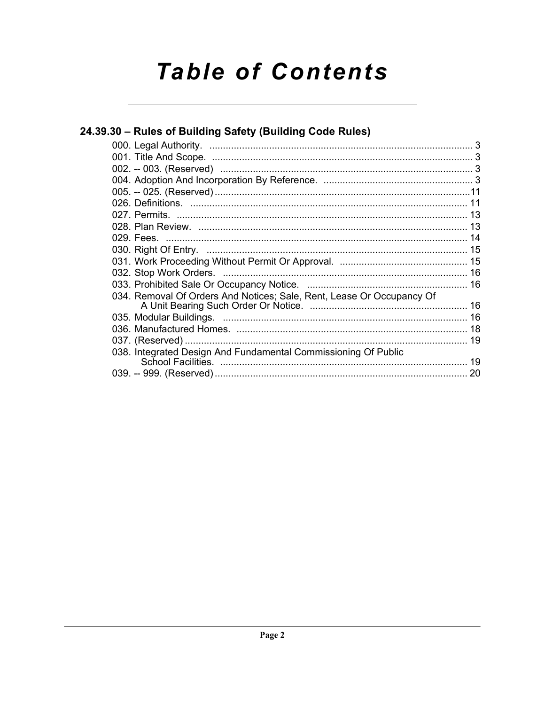# **Table of Contents**

| 24.39.30 – Rules of Building Safety (Building Code Rules)             |  |
|-----------------------------------------------------------------------|--|
|                                                                       |  |
|                                                                       |  |
|                                                                       |  |
|                                                                       |  |
|                                                                       |  |
|                                                                       |  |
|                                                                       |  |
|                                                                       |  |
|                                                                       |  |
|                                                                       |  |
|                                                                       |  |
|                                                                       |  |
|                                                                       |  |
| 034. Removal Of Orders And Notices; Sale, Rent, Lease Or Occupancy Of |  |
|                                                                       |  |
|                                                                       |  |
|                                                                       |  |
| 038. Integrated Design And Fundamental Commissioning Of Public        |  |
|                                                                       |  |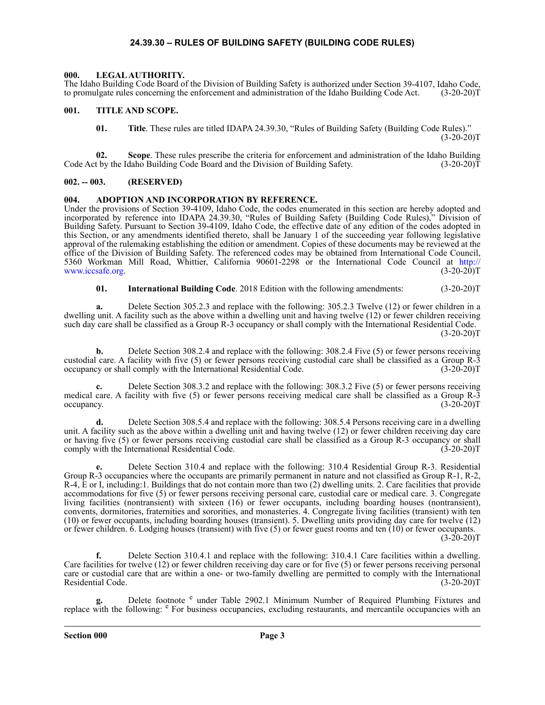#### **24.39.30 – RULES OF BUILDING SAFETY (BUILDING CODE RULES)**

#### <span id="page-2-6"></span><span id="page-2-1"></span><span id="page-2-0"></span>**000. LEGAL AUTHORITY.**

The Idaho Building Code Board of the Division of Building Safety is authorized under Section 39-4107, Idaho Code, to promulgate rules concerning the enforcement and administration of the Idaho Building Code Act. (3-20-20)T

#### <span id="page-2-2"></span>**001. TITLE AND SCOPE.**

<span id="page-2-7"></span>**01. Title**. These rules are titled IDAPA 24.39.30, "Rules of Building Safety (Building Code Rules)."  $(3-20-20)T$ 

**02. Scope**. These rules prescribe the criteria for enforcement and administration of the Idaho Building Code Act by the Idaho Building Code Board and the Division of Building Safety. (3-20-20)T

#### <span id="page-2-3"></span>**002. -- 003. (RESERVED)**

#### <span id="page-2-5"></span><span id="page-2-4"></span>**004. ADOPTION AND INCORPORATION BY REFERENCE.**

Under the provisions of Section 39-4109, Idaho Code, the codes enumerated in this section are hereby adopted and incorporated by reference into IDAPA 24.39.30, "Rules of Building Safety (Building Code Rules)," Division of Building Safety. Pursuant to Section 39-4109, Idaho Code, the effective date of any edition of the codes adopted in this Section, or any amendments identified thereto, shall be January 1 of the succeeding year following legislative approval of the rulemaking establishing the edition or amendment. Copies of these documents may be reviewed at the office of the Division of Building Safety. The referenced codes may be obtained from International Code Council, 5360 Workman Mill Road, Whittier, California 90601-2298 or the International Code Council at [http://](http://www.iccsafe.org) [www.iccsafe.org.](http://www.iccsafe.org)

**01. International Building Code**. 2018 Edition with the following amendments: (3-20-20)T

**a.** Delete Section 305.2.3 and replace with the following: 305.2.3 Twelve (12) or fewer children in a dwelling unit. A facility such as the above within a dwelling unit and having twelve (12) or fewer children receiving such day care shall be classified as a Group R-3 occupancy or shall comply with the International Residential Code.  $(3-20-20)T$ 

**b.** Delete Section 308.2.4 and replace with the following: 308.2.4 Five (5) or fewer persons receiving custodial care. A facility with five (5) or fewer persons receiving custodial care shall be classified as a Group R-3 occupancy or shall comply with the International Residential Code. (3-20-20)T

**c.** Delete Section 308.3.2 and replace with the following: 308.3.2 Five (5) or fewer persons receiving medical care. A facility with five (5) or fewer persons receiving medical care shall be classified as a Group R-3 occupancy.  $(3-20-20)T$ 

**d.** Delete Section 308.5.4 and replace with the following: 308.5.4 Persons receiving care in a dwelling unit. A facility such as the above within a dwelling unit and having twelve (12) or fewer children receiving day care or having five (5) or fewer persons receiving custodial care shall be classified as a Group R-3 occupancy or shall comply with the International Residential Code.

**e.** Delete Section 310.4 and replace with the following: 310.4 Residential Group R-3. Residential Group R-3 occupancies where the occupants are primarily permanent in nature and not classified as Group R-1, R-2, R-4, E or I, including:1. Buildings that do not contain more than two (2) dwelling units. 2. Care facilities that provide accommodations for five (5) or fewer persons receiving personal care, custodial care or medical care. 3. Congregate living facilities (nontransient) with sixteen (16) or fewer occupants, including boarding houses (nontransient), convents, dormitories, fraternities and sororities, and monasteries. 4. Congregate living facilities (transient) with ten (10) or fewer occupants, including boarding houses (transient). 5. Dwelling units providing day care for twelve (12) or fewer children. 6. Lodging houses (transient) with five (5) or fewer guest rooms and ten (10) or fewer occupants.  $(3-20-20)T$ 

**f.** Delete Section 310.4.1 and replace with the following: 310.4.1 Care facilities within a dwelling. Care facilities for twelve (12) or fewer children receiving day care or for five (5) or fewer persons receiving personal care or custodial care that are within a one- or two-family dwelling are permitted to comply with the International<br>Residential Code. (3-20-20)T Residential Code.

g. Delete footnote <sup>e</sup> under Table 2902.1 Minimum Number of Required Plumbing Fixtures and replace with the following:  $\epsilon$  For business occupancies, excluding restaurants, and mercantile occupancies with an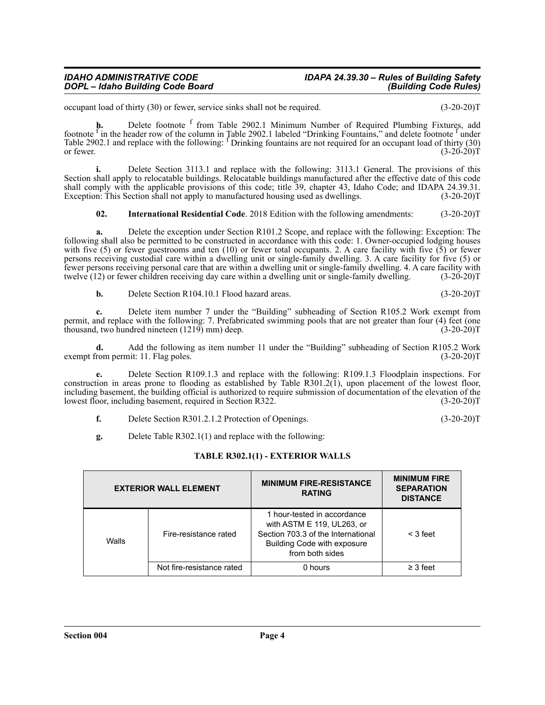occupant load of thirty (30) or fewer, service sinks shall not be required. (3-20-20)T

**h.** Delete footnote <sup>f</sup> from Table 2902.1 Minimum Number of Required Plumbing Fixtures, add footnote <sup>f</sup> in the header row of the column in Table 2902.1 labeled "Drinking Fountains," and delete footnote <sup>f</sup> under Table 2902.1 and replace with the following: <sup>f</sup> Drinking fountains are not required for an occupant load of thirty (30) or fewer.  $(3-20-20)T$ 

**i.** Delete Section 3113.1 and replace with the following: 3113.1 General. The provisions of this Section shall apply to relocatable buildings. Relocatable buildings manufactured after the effective date of this code shall comply with the applicable provisions of this code; title 39, chapter 43, Idaho Code; and IDAPA 24.39.31.<br>Exception: This Section shall not apply to manufactured housing used as dwellings. (3-20-20)T Exception: This Section shall not apply to manufactured housing used as dwellings.

**02. International Residential Code**. 2018 Edition with the following amendments: (3-20-20)T

**a.** Delete the exception under Section R101.2 Scope, and replace with the following: Exception: The following shall also be permitted to be constructed in accordance with this code: 1. Owner-occupied lodging houses with five (5) or fewer guestrooms and ten (10) or fewer total occupants. 2. A care facility with five  $(5)$  or fewer persons receiving custodial care within a dwelling unit or single-family dwelling. 3. A care facility for five (5) or fewer persons receiving personal care that are within a dwelling unit or single-family dwelling. 4. A care facility with twelve (12) or fewer children receiving day care within a dwelling unit or single-family dwelling.

**b.** Delete Section R104.10.1 Flood hazard areas. (3-20-20)T

**c.** Delete item number 7 under the "Building" subheading of Section R105.2 Work exempt from permit, and replace with the following: 7. Prefabricated swimming pools that are not greater than four (4) feet (one thousand, two hundred nineteen (1219) mm) deep. (3-20-20) thousand, two hundred nineteen  $(1219)$  mm) deep.

**d.** Add the following as item number 11 under the "Building" subheading of Section R105.2 Work<br>
rom permit: 11. Flag poles. (3-20-20)T exempt from permit: 11. Flag poles.

**e.** Delete Section R109.1.3 and replace with the following: R109.1.3 Floodplain inspections. For construction in areas prone to flooding as established by Table R301.2(1), upon placement of the lowest floor, including basement, the building official is authorized to require submission of documentation of the elevation of the lowest floor, including basement, required in Section R322. (3-20-20)T

- **f.** Delete Section R301.2.1.2 Protection of Openings. (3-20-20)T
- **g.** Delete Table R302.1(1) and replace with the following:

#### **TABLE R302.1(1) - EXTERIOR WALLS**

|       | <b>EXTERIOR WALL ELEMENT</b> | <b>MINIMUM FIRE-RESISTANCE</b><br><b>RATING</b>                                                                                                          | <b>MINIMUM FIRE</b><br><b>SEPARATION</b><br><b>DISTANCE</b> |
|-------|------------------------------|----------------------------------------------------------------------------------------------------------------------------------------------------------|-------------------------------------------------------------|
| Walls | Fire-resistance rated        | 1 hour-tested in accordance<br>with ASTM E 119, UL263, or<br>Section 703.3 of the International<br><b>Building Code with exposure</b><br>from both sides | $<$ 3 feet                                                  |
|       | Not fire-resistance rated    | 0 hours                                                                                                                                                  | $\geq$ 3 feet                                               |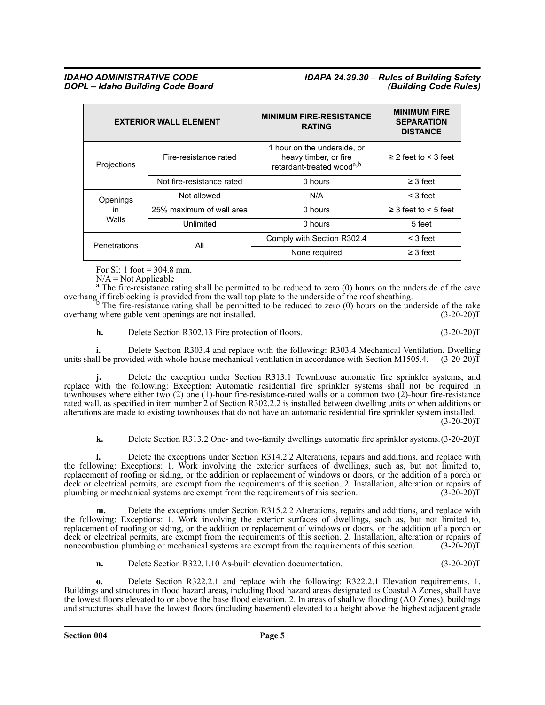## *IDAHO ADMINISTRATIVE CODE IDAPA 24.39.30 – Rules of Building Safety*

|              | <b>EXTERIOR WALL ELEMENT</b> | <b>MINIMUM FIRE-RESISTANCE</b><br><b>RATING</b>                                               | <b>MINIMUM FIRE</b><br><b>SEPARATION</b><br><b>DISTANCE</b> |
|--------------|------------------------------|-----------------------------------------------------------------------------------------------|-------------------------------------------------------------|
| Projections  | Fire-resistance rated        | 1 hour on the underside, or<br>heavy timber, or fire<br>retardant-treated wood <sup>a,b</sup> | $\geq$ 2 feet to $\leq$ 3 feet                              |
|              | Not fire-resistance rated    | 0 hours                                                                                       | $\geq$ 3 feet                                               |
| Openings     | Not allowed                  | N/A                                                                                           | $<$ 3 feet                                                  |
| <i>in</i>    | 25% maximum of wall area     | 0 hours                                                                                       | $\geq$ 3 feet to $\leq$ 5 feet                              |
| Walls        | Unlimited                    | 0 hours                                                                                       | 5 feet                                                      |
| Penetrations | All                          | Comply with Section R302.4                                                                    | $<$ 3 feet                                                  |
|              |                              | None required                                                                                 | $\geq$ 3 feet                                               |

For SI: 1 foot  $=$  304.8 mm.

 $N/A = Not$  Applicable

<sup>a</sup> The fire-resistance rating shall be permitted to be reduced to zero (0) hours on the underside of the eave overhang if fireblocking is provided from the wall top plate to the underside of the roof sheathing.<br><sup>b</sup> The fire-resistance rating shall be permitted to be reduced to zero (0) hours on the underside of the rake

overhang where gable vent openings are not installed. (3-20-20)T

**h.** Delete Section R302.13 Fire protection of floors. (3-20-20)T

**i.** Delete Section R303.4 and replace with the following: R303.4 Mechanical Ventilation. Dwelling units shall be provided with whole-house mechanical ventilation in accordance with Section M1505.4.  $(3\n-20\n-20)\bar{T}$ 

**j.** Delete the exception under Section R313.1 Townhouse automatic fire sprinkler systems, and replace with the following: Exception: Automatic residential fire sprinkler systems shall not be required in townhouses where either two (2) one (1)-hour fire-resistance-rated walls or a common two (2)-hour fire-resistance rated wall, as specified in item number 2 of Section R302.2.2 is installed between dwelling units or when additions or alterations are made to existing townhouses that do not have an automatic residential fire sprinkler system installed.  $(3-20-20)T$ 

**k.** Delete Section R313.2 One- and two-family dwellings automatic fire sprinkler systems.(3-20-20)T

**l.** Delete the exceptions under Section R314.2.2 Alterations, repairs and additions, and replace with the following: Exceptions: 1. Work involving the exterior surfaces of dwellings, such as, but not limited to, replacement of roofing or siding, or the addition or replacement of windows or doors, or the addition of a porch or deck or electrical permits, are exempt from the requirements of this section. 2. Installation, alteration or repairs of plumbing or mechanical systems are exempt from the requirements of this section. (3-20-20)T

**m.** Delete the exceptions under Section R315.2.2 Alterations, repairs and additions, and replace with the following: Exceptions: 1. Work involving the exterior surfaces of dwellings, such as, but not limited to, replacement of roofing or siding, or the addition or replacement of windows or doors, or the addition of a porch or deck or electrical permits, are exempt from the requirements of this section. 2. Installation, alteration or repairs of noncombustion plumbing or mechanical systems are exempt from the requirements of this section. (3-20-2 noncombustion plumbing or mechanical systems are exempt from the requirements of this section.

**n.** Delete Section R322.1.10 As-built elevation documentation. (3-20-20)T

**o.** Delete Section R322.2.1 and replace with the following: R322.2.1 Elevation requirements. 1. Buildings and structures in flood hazard areas, including flood hazard areas designated as Coastal A Zones, shall have the lowest floors elevated to or above the base flood elevation. 2. In areas of shallow flooding (AO Zones), buildings and structures shall have the lowest floors (including basement) elevated to a height above the highest adjacent grade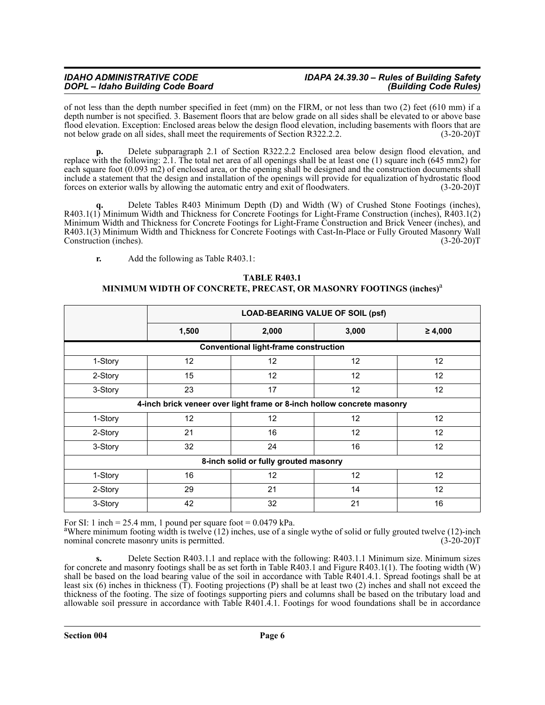## *IDAHO ADMINISTRATIVE CODE IDAPA 24.39.30 – Rules of Building Safety*

of not less than the depth number specified in feet (mm) on the FIRM, or not less than two (2) feet (610 mm) if a depth number is not specified. 3. Basement floors that are below grade on all sides shall be elevated to or above base flood elevation. Exception: Enclosed areas below the design flood elevation, including basements with floors that are not below grade on all sides, shall meet the requirements of Section R322.2.2. (3-20-20)T

**p.** Delete subparagraph 2.1 of Section R322.2.2 Enclosed area below design flood elevation, and replace with the following: 2.1. The total net area of all openings shall be at least one (1) square inch (645 mm2) for each square foot (0.093 m2) of enclosed area, or the opening shall be designed and the construction documents shall include a statement that the design and installation of the openings will provide for equalization of hydrostatic flood forces on exterior walls by allowing the automatic entry and exit of floodwaters. (3-20-20)T

**q.** Delete Tables R403 Minimum Depth (D) and Width (W) of Crushed Stone Footings (inches), R403.1(1) Minimum Width and Thickness for Concrete Footings for Light-Frame Construction (inches), R403.1(2) Minimum Width and Thickness for Concrete Footings for Light-Frame Construction and Brick Veneer (inches), and R403.1(3) Minimum Width and Thickness for Concrete Footings with Cast-In-Place or Fully Grouted Masonry Wall Construction (inches). (3-20-20) Construction (inches).

**r.** Add the following as Table R403.1:

#### **TABLE R403.1 MINIMUM WIDTH OF CONCRETE, PRECAST, OR MASONRY FOOTINGS (inches)** a

|                                                                        | <b>LOAD-BEARING VALUE OF SOIL (psf)</b> |                 |                   |                 |  |  |  |  |  |  |  |
|------------------------------------------------------------------------|-----------------------------------------|-----------------|-------------------|-----------------|--|--|--|--|--|--|--|
|                                                                        | 1,500                                   | 2,000           | ≥ 4,000           |                 |  |  |  |  |  |  |  |
| <b>Conventional light-frame construction</b>                           |                                         |                 |                   |                 |  |  |  |  |  |  |  |
| 1-Story                                                                | 12                                      | 12              | 12 <sup>°</sup>   | 12 <sup>°</sup> |  |  |  |  |  |  |  |
| 2-Story                                                                | 15                                      | 12              | 12                | 12 <sup>2</sup> |  |  |  |  |  |  |  |
| 3-Story                                                                | 23                                      | 17              | 12                | 12              |  |  |  |  |  |  |  |
| 4-inch brick veneer over light frame or 8-inch hollow concrete masonry |                                         |                 |                   |                 |  |  |  |  |  |  |  |
| 1-Story                                                                | 12                                      | 12 <sup>2</sup> | $12 \overline{ }$ | 12 <sup>2</sup> |  |  |  |  |  |  |  |
| 2-Story                                                                | 21                                      | 16              | 12                | 12              |  |  |  |  |  |  |  |
| 3-Story                                                                | 32                                      | 24              | 16                | 12 <sup>2</sup> |  |  |  |  |  |  |  |
| 8-inch solid or fully grouted masonry                                  |                                         |                 |                   |                 |  |  |  |  |  |  |  |
| 1-Story                                                                | 16                                      | 12              | $12 \overline{ }$ | 12              |  |  |  |  |  |  |  |
| 2-Story                                                                | 29                                      | 21              | 14                | 12              |  |  |  |  |  |  |  |
| 3-Story                                                                | 42                                      | 32<br>21<br>16  |                   |                 |  |  |  |  |  |  |  |

For SI: 1 inch = 25.4 mm, 1 pound per square foot =  $0.0479$  kPa.

<sup>a</sup>Where minimum footing width is twelve (12) inches, use of a single wythe of solid or fully grouted twelve (12)-inch nominal concrete masonry units is permitted. nominal concrete masonry units is permitted.

**s.** Delete Section R403.1.1 and replace with the following: R403.1.1 Minimum size. Minimum sizes for concrete and masonry footings shall be as set forth in Table R403.1 and Figure R403.1(1). The footing width (W) shall be based on the load bearing value of the soil in accordance with Table R401.4.1. Spread footings shall be at least six (6) inches in thickness (T). Footing projections (P) shall be at least two (2) inches and shall not exceed the thickness of the footing. The size of footings supporting piers and columns shall be based on the tributary load and allowable soil pressure in accordance with Table R401.4.1. Footings for wood foundations shall be in accordance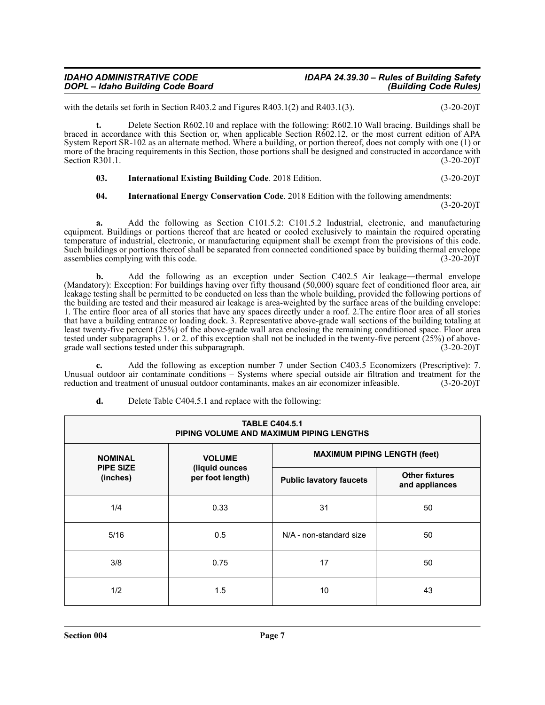### *IDAHO ADMINISTRATIVE CODE IDAPA 24.39.30 – Rules of Building Safety*

with the details set forth in Section R403.2 and Figures R403.1(2) and R403.1(3).  $(3-20-20)T$ 

**t.** Delete Section R602.10 and replace with the following: R602.10 Wall bracing. Buildings shall be braced in accordance with this Section or, when applicable Section R602.12, or the most current edition of APA System Report SR-102 as an alternate method. Where a building, or portion thereof, does not comply with one (1) or more of the bracing requirements in this Section, those portions shall be designed and constructed in accordance with Section R301.1. (3-20-20) Section R301.1.

**03.** International Existing Building Code. 2018 Edition. (3-20-20)T

#### **04. International Energy Conservation Code**. 2018 Edition with the following amendments:

 $(3-20-20)T$ 

**a.** Add the following as Section C101.5.2: C101.5.2 Industrial, electronic, and manufacturing equipment. Buildings or portions thereof that are heated or cooled exclusively to maintain the required operating temperature of industrial, electronic, or manufacturing equipment shall be exempt from the provisions of this code. Such buildings or portions thereof shall be separated from connected conditioned space by building thermal envelope assemblies complying with this code.  $(3-20-20)T$ 

Add the following as an exception under Section C402.5 Air leakage—thermal envelope (Mandatory): Exception: For buildings having over fifty thousand (50,000) square feet of conditioned floor area, air leakage testing shall be permitted to be conducted on less than the whole building, provided the following portions of the building are tested and their measured air leakage is area-weighted by the surface areas of the building envelope: 1. The entire floor area of all stories that have any spaces directly under a roof. 2.The entire floor area of all stories that have a building entrance or loading dock. 3. Representative above-grade wall sections of the building totaling at least twenty-five percent (25%) of the above-grade wall area enclosing the remaining conditioned space. Floor area tested under subparagraphs 1. or 2. of this exception shall not be included in the twenty-five percent (25%) of above-<br>grade wall sections tested under this subparagraph. (3-20-20) grade wall sections tested under this subparagraph.

**c.** Add the following as exception number 7 under Section C403.5 Economizers (Prescriptive): 7. Unusual outdoor air contaminate conditions – Systems where special outside air filtration and treatment for the reduction and treatment of unusual outdoor contaminants, makes an air economizer infeasible. (3-20-20)T

| <b>TABLE C404.5.1</b><br>PIPING VOLUME AND MAXIMUM PIPING LENGTHS |                                    |                                     |                                         |  |  |  |  |  |  |
|-------------------------------------------------------------------|------------------------------------|-------------------------------------|-----------------------------------------|--|--|--|--|--|--|
| <b>NOMINAL</b>                                                    | <b>VOLUME</b>                      | <b>MAXIMUM PIPING LENGTH (feet)</b> |                                         |  |  |  |  |  |  |
| <b>PIPE SIZE</b><br>(inches)                                      | (liquid ounces<br>per foot length) | <b>Public lavatory faucets</b>      | <b>Other fixtures</b><br>and appliances |  |  |  |  |  |  |
| 1/4                                                               | 0.33                               | 31                                  | 50                                      |  |  |  |  |  |  |
| 5/16                                                              | 0.5                                | N/A - non-standard size             | 50                                      |  |  |  |  |  |  |
| 3/8                                                               | 0.75                               | 17                                  | 50                                      |  |  |  |  |  |  |
| 1/2                                                               | 1.5                                | 10                                  | 43                                      |  |  |  |  |  |  |

**d.** Delete Table C404.5.1 and replace with the following: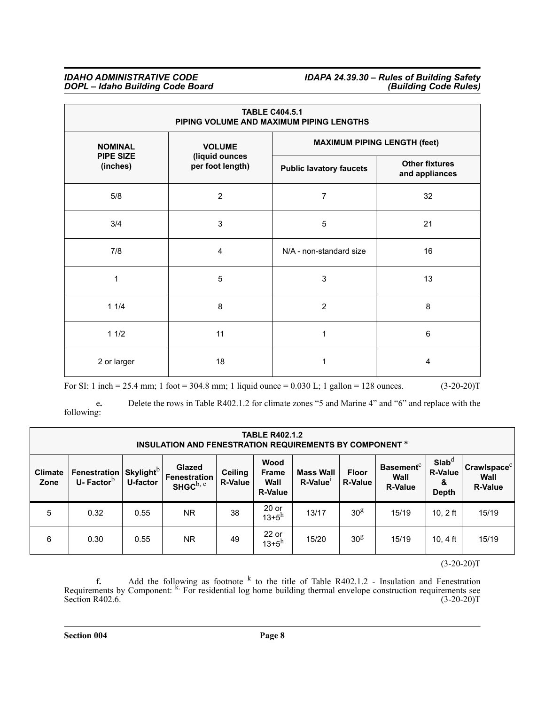| <b>TABLE C404.5.1</b><br>PIPING VOLUME AND MAXIMUM PIPING LENGTHS |                                    |                                         |    |  |  |  |  |  |  |
|-------------------------------------------------------------------|------------------------------------|-----------------------------------------|----|--|--|--|--|--|--|
| <b>NOMINAL</b>                                                    | <b>VOLUME</b>                      | <b>MAXIMUM PIPING LENGTH (feet)</b>     |    |  |  |  |  |  |  |
| <b>PIPE SIZE</b><br>(inches)                                      | (liquid ounces<br>per foot length) | <b>Other fixtures</b><br>and appliances |    |  |  |  |  |  |  |
| 5/8                                                               | $\overline{c}$                     | $\overline{7}$                          | 32 |  |  |  |  |  |  |
| 3/4                                                               | 3                                  | 5                                       | 21 |  |  |  |  |  |  |
| 7/8                                                               | 4                                  | N/A - non-standard size                 | 16 |  |  |  |  |  |  |
| 1                                                                 | 5                                  | 3                                       | 13 |  |  |  |  |  |  |
| 11/4                                                              | 8                                  | $\overline{2}$                          | 8  |  |  |  |  |  |  |
| 11/2                                                              | 11                                 | 1                                       | 6  |  |  |  |  |  |  |
| 2 or larger                                                       | 18                                 | 1                                       | 4  |  |  |  |  |  |  |

For SI: 1 inch = 25.4 mm; 1 foot = 304.8 mm; 1 liquid ounce = 0.030 L; 1 gallon = 128 ounces. (3-20-20)T

e**.** Delete the rows in Table R402.1.2 for climate zones "5 and Marine 4" and "6" and replace with the following:

| <b>TABLE R402.1.2</b><br>INSULATION AND FENESTRATION REQUIREMENTS BY COMPONENT <sup>a</sup> |                                              |                                          |                                                                                                                          |    |                                             |                                |                                                        |                                                          |                                                   |       |
|---------------------------------------------------------------------------------------------|----------------------------------------------|------------------------------------------|--------------------------------------------------------------------------------------------------------------------------|----|---------------------------------------------|--------------------------------|--------------------------------------------------------|----------------------------------------------------------|---------------------------------------------------|-------|
| <b>Climate</b><br>Zone                                                                      | <b>Fenestration</b><br>U-Factor <sup>b</sup> | <b>Skylight</b> <sup>b</sup><br>U-factor | Wood<br>Glazed<br><b>Ceiling</b><br><b>Frame</b><br>Fenestration<br><b>R-Value</b><br>Wall<br>SHGCb, e<br><b>R-Value</b> |    | <b>Mass Wall</b><br>$R$ -Value <sup>1</sup> | <b>Floor</b><br><b>R-Value</b> | <b>Basement</b> <sup>c</sup><br>Wall<br><b>R-Value</b> | Slab <sup>d</sup><br><b>R-Value</b><br>&<br><b>Depth</b> | Crawlspace <sup>c</sup><br>Wall<br><b>R-Value</b> |       |
| 5                                                                                           | 0.32                                         | 0.55                                     | <b>NR</b>                                                                                                                | 38 | $20$ or<br>$13 + 5^h$                       | 13/17                          | 30 <sup>g</sup>                                        | 15/19                                                    | $10, 2$ ft                                        | 15/19 |
| 6                                                                                           | 0.30                                         | 0.55                                     | <b>NR</b>                                                                                                                | 49 | $22$ or<br>$13 + 5^h$                       | 15/20                          | 30 <sup>g</sup>                                        | 15/19                                                    | 10, 4 ft                                          | 15/19 |

 $(3-20-20)T$ 

**f.** Add the following as footnote  $\frac{k}{ }$  to the title of Table R402.1.2 - Insulation and Fenestration Requirements by Component: <sup>k.</sup> For residential log home building thermal envelope construction requirements see Section R402.6.  $(3-20-20)T$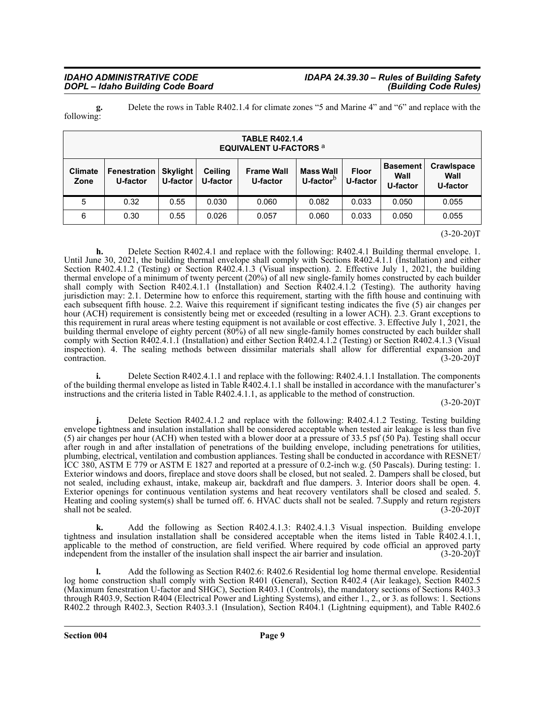## *IDAHO ADMINISTRATIVE CODE IDAPA 24.39.30 – Rules of Building Safety*

**g.** Delete the rows in Table R402.1.4 for climate zones "5 and Marine 4" and "6" and replace with the following:

| <b>TABLE R402.1.4</b><br><b>EQUIVALENT U-FACTORS a</b> |                                                                                              |      |                               |                                  |                          |                                     |                                       |       |  |  |
|--------------------------------------------------------|----------------------------------------------------------------------------------------------|------|-------------------------------|----------------------------------|--------------------------|-------------------------------------|---------------------------------------|-------|--|--|
| <b>Climate</b><br>Zone                                 | <b>Ceiling</b><br><b>Fenestration</b><br><b>Skylight</b><br>U-factor<br>U-factor<br>U-factor |      | <b>Frame Wall</b><br>U-factor | <b>Mass Wall</b><br>U-factor $5$ | <b>Floor</b><br>U-factor | <b>Basement</b><br>Wall<br>U-factor | <b>Crawlspace</b><br>Wall<br>U-factor |       |  |  |
| 5                                                      | 0.32                                                                                         | 0.55 | 0.030                         | 0.060                            | 0.082                    | 0.033                               | 0.050                                 | 0.055 |  |  |
| 6                                                      | 0.30                                                                                         | 0.55 | 0.026                         | 0.057                            | 0.060                    | 0.033                               | 0.050                                 | 0.055 |  |  |

 $(3-20-20)T$ 

**h.** Delete Section R402.4.1 and replace with the following: R402.4.1 Building thermal envelope. 1. Until June 30, 2021, the building thermal envelope shall comply with Sections R402.4.1.1 (Installation) and either Section R402.4.1.2 (Testing) or Section R402.4.1.3 (Visual inspection). 2. Effective July 1, 2021, the building thermal envelope of a minimum of twenty percent (20%) of all new single-family homes constructed by each builder shall comply with Section R402.4.1.1 (Installation) and Section R402.4.1.2 (Testing). The authority having jurisdiction may: 2.1. Determine how to enforce this requirement, starting with the fifth house and continuing with each subsequent fifth house. 2.2. Waive this requirement if significant testing indicates the five (5) air changes per hour (ACH) requirement is consistently being met or exceeded (resulting in a lower ACH). 2.3. Grant exceptions to this requirement in rural areas where testing equipment is not available or cost effective. 3. Effective July 1, 2021, the building thermal envelope of eighty percent (80%) of all new single-family homes constructed by each builder shall comply with Section R402.4.1.1 (Installation) and either Section R402.4.1.2 (Testing) or Section R402.4.1.3 (Visual inspection). 4. The sealing methods between dissimilar materials shall allow for differential expansion and contraction. (3-20-20)T contraction. (3-20-20)T

**i.** Delete Section R402.4.1.1 and replace with the following: R402.4.1.1 Installation. The components of the building thermal envelope as listed in Table R402.4.1.1 shall be installed in accordance with the manufacturer's instructions and the criteria listed in Table R402.4.1.1, as applicable to the method of construction.

 $(3-20-20)T$ 

**j.** Delete Section R402.4.1.2 and replace with the following: R402.4.1.2 Testing. Testing building envelope tightness and insulation installation shall be considered acceptable when tested air leakage is less than five (5) air changes per hour (ACH) when tested with a blower door at a pressure of 33.5 psf (50 Pa). Testing shall occur after rough in and after installation of penetrations of the building envelope, including penetrations for utilities, plumbing, electrical, ventilation and combustion appliances. Testing shall be conducted in accordance with RESNET/ ICC 380, ASTM E 779 or ASTM E 1827 and reported at a pressure of 0.2-inch w.g. (50 Pascals). During testing: 1. Exterior windows and doors, fireplace and stove doors shall be closed, but not sealed. 2. Dampers shall be closed, but not sealed, including exhaust, intake, makeup air, backdraft and flue dampers. 3. Interior doors shall be open. 4. Exterior openings for continuous ventilation systems and heat recovery ventilators shall be closed and sealed. 5. Heating and cooling system(s) shall be turned off. 6. HVAC ducts shall not be sealed. 7.Supply and return registers shall not be sealed. (3-20-20)T

**k.** Add the following as Section R402.4.1.3: R402.4.1.3 Visual inspection. Building envelope tightness and insulation installation shall be considered acceptable when the items listed in Table R402.4.1.1, applicable to the method of construction, are field verified. Where required by code official an approved party independent from the installer of the insulation shall inspect the air barrier and insulation. (3-20-20)T

**l.** Add the following as Section R402.6: R402.6 Residential log home thermal envelope. Residential log home construction shall comply with Section R401 (General), Section R402.4 (Air leakage), Section R402.5 (Maximum fenestration U-factor and SHGC), Section R403.1 (Controls), the mandatory sections of Sections R403.3 through R403.9, Section R404 (Electrical Power and Lighting Systems), and either 1., 2., or 3. as follows: 1. Sections R402.2 through R402.3, Section R403.3.1 (Insulation), Section R404.1 (Lightning equipment), and Table R402.6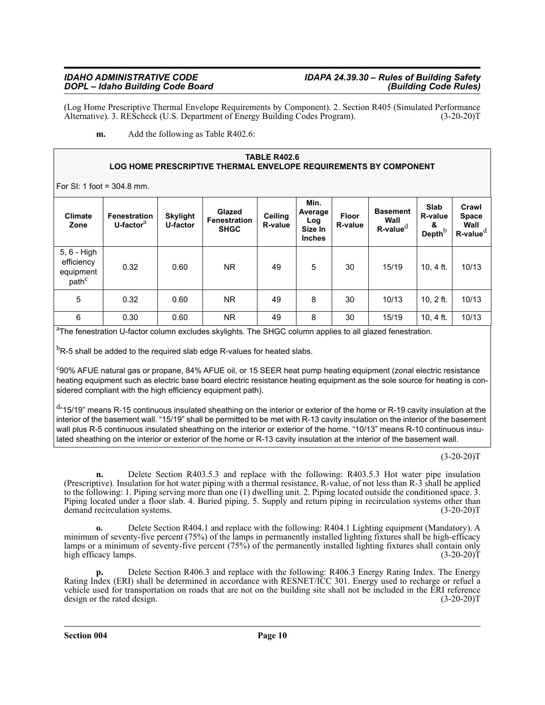(Log Home Prescriptive Thermal Envelope Requirements by Component). 2. Section R405 (Simulated Performance Alternative). 3. REScheck (U.S. Department of Energy Building Codes Program). (3-20-20)T Alternative). 3. REScheck (U.S. Department of Energy Building Codes Program).

**m.** Add the following as Table R402.6:

#### **TABLE R402.6 LOG HOME PRESCRIPTIVE THERMAL ENVELOPE REQUIREMENTS BY COMPONENT**

For SI: 1 foot = 304.8 mm.

| <b>Climate</b><br>Zone                                      | <b>Fenestration</b><br>U-factor <sup>a</sup> | <b>Skylight</b><br>U-factor | Glazed<br><b>Fenestration</b><br><b>SHGC</b> | <b>Ceiling</b><br><b>R-value</b> | Min.<br>Average<br>Log<br>Size In<br><b>Inches</b> | <b>Floor</b><br>R-value | <b>Basement</b><br>Wall<br>$R$ -value $d$ | Slab<br>R-value<br>&<br>Depth $b$ | Crawl<br><b>Space</b><br>Wall<br>$R$ -value $d$ |
|-------------------------------------------------------------|----------------------------------------------|-----------------------------|----------------------------------------------|----------------------------------|----------------------------------------------------|-------------------------|-------------------------------------------|-----------------------------------|-------------------------------------------------|
| 5, 6 - High<br>efficiency<br>equipment<br>path <sup>c</sup> | 0.32                                         | 0.60                        | NR.                                          | 49                               | 5                                                  | 30                      | 15/19                                     | 10, 4 ft.                         | 10/13                                           |
| 5                                                           | 0.32                                         | 0.60                        | NR.                                          | 49                               | 8                                                  | 30                      | 10/13                                     | $10, 2$ ft.                       | 10/13                                           |
| 6                                                           | 0.30                                         | 0.60                        | NR.                                          | 49                               | 8                                                  | 30                      | 15/19                                     | 10, 4 ft.                         | 10/13                                           |

<sup>a</sup>The fenestration U-factor column excludes skylights. The SHGC column applies to all glazed fenestration.

 $^{\rm b}$ R-5 shall be added to the required slab edge R-values for heated slabs.

<sup>c</sup>90% AFUE natural gas or propane, 84% AFUE oil, or 15 SEER heat pump heating equipment (zonal electric resistance heating equipment such as electric base board electric resistance heating equipment as the sole source for heating is considered compliant with the high efficiency equipment path).

<sup>d</sup>"15/19" means R-15 continuous insulated sheathing on the interior or exterior of the home or R-19 cavity insulation at the interior of the basement wall. "15/19" shall be permitted to be met with R-13 cavity insulation on the interior of the basement wall plus R-5 continuous insulated sheathing on the interior or exterior of the home. "10/13" means R-10 continuous insulated sheathing on the interior or exterior of the home or R-13 cavity insulation at the interior of the basement wall.

 $(3-20-20)T$ 

**n.** Delete Section R403.5.3 and replace with the following: R403.5.3 Hot water pipe insulation (Prescriptive). Insulation for hot water piping with a thermal resistance, R-value, of not less than R-3 shall be applied to the following: 1. Piping serving more than one (1) dwelling unit. 2. Piping located outside the conditioned space. 3. Piping located under a floor slab. 4. Buried piping. 5. Supply and return piping in recirculation systems other than demand recirculation systems. (3-20-20)T demand recirculation systems.

**o.** Delete Section R404.1 and replace with the following: R404.1 Lighting equipment (Mandatory). A minimum of seventy-five percent (75%) of the lamps in permanently installed lighting fixtures shall be high-efficacy lamps or a minimum of seventy-five percent (75%) of the permanently installed lighting fixtures shall contain only high efficacy lamps. (3-20-20)T

**p.** Delete Section R406.3 and replace with the following: R406.3 Energy Rating Index. The Energy Rating Index (ERI) shall be determined in accordance with RESNET/ICC 301. Energy used to recharge or refuel a vehicle used for transportation on roads that are not on the building site shall not be included in the ERI reference design or the rated design. (3-20-20)T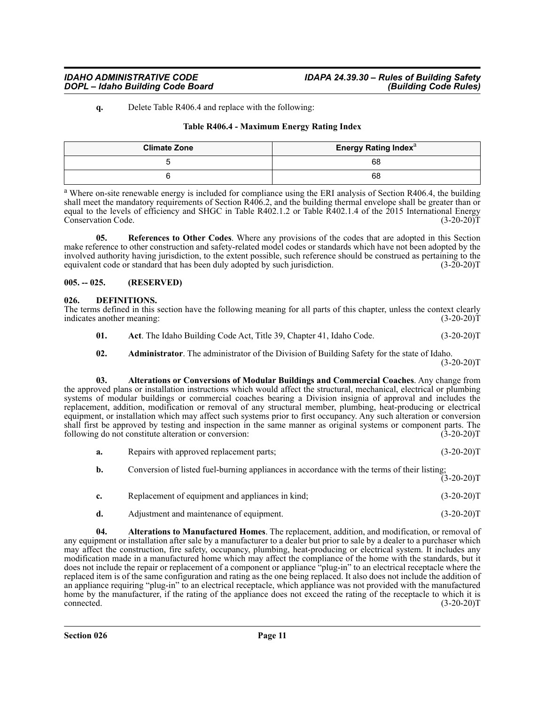#### **q.** Delete Table R406.4 and replace with the following:

#### **Table R406.4 - Maximum Energy Rating Index**

| <b>Climate Zone</b> | <b>Energy Rating Index</b> <sup>a</sup> |
|---------------------|-----------------------------------------|
|                     | 68                                      |
|                     | 68                                      |

<sup>a</sup> Where on-site renewable energy is included for compliance using the ERI analysis of Section R406.4, the building shall meet the mandatory requirements of Section R406.2, and the building thermal envelope shall be greater than or equal to the levels of efficiency and SHGC in Table R402.1.2 or Table R402.1.4 of the 2015 International Energy<br>Conservation Code. (3-20-20)T Conservation Code.

**05. References to Other Codes**. Where any provisions of the codes that are adopted in this Section make reference to other construction and safety-related model codes or standards which have not been adopted by the involved authority having jurisdiction, to the extent possible, such reference should be construed as pertaining to the equivalent code or standard that has been duly adopted by such jurisdiction. (3-20-20)T equivalent code or standard that has been duly adopted by such jurisdiction.

#### <span id="page-10-0"></span>**005. -- 025. (RESERVED)**

#### <span id="page-10-2"></span><span id="page-10-1"></span>**026. DEFINITIONS.**

| The terms defined in this section have the following meaning for all parts of this chapter, unless the context clearly |  |  |  |  |  |              |
|------------------------------------------------------------------------------------------------------------------------|--|--|--|--|--|--------------|
| indicates another meaning:                                                                                             |  |  |  |  |  | $(3-20-20)T$ |

- <span id="page-10-3"></span>**01.** Act. The Idaho Building Code Act, Title 39, Chapter 41, Idaho Code. (3-20-20)T
- <span id="page-10-5"></span><span id="page-10-4"></span>**02. Administrator**. The administrator of the Division of Building Safety for the state of Idaho.

 $(3-20-20)T$ 

**03. Alterations or Conversions of Modular Buildings and Commercial Coaches**. Any change from the approved plans or installation instructions which would affect the structural, mechanical, electrical or plumbing systems of modular buildings or commercial coaches bearing a Division insignia of approval and includes the replacement, addition, modification or removal of any structural member, plumbing, heat-producing or electrical equipment, or installation which may affect such systems prior to first occupancy. Any such alteration or conversion shall first be approved by testing and inspection in the same manner as original systems or component parts. The following do not constitute alteration or conversion: (3-20-20) following do not constitute alteration or conversion:

- **a.** Repairs with approved replacement parts; (3-20-20)T
- **b.** Conversion of listed fuel-burning appliances in accordance with the terms of their listing;  $(3-20-20)T$
- **c.** Replacement of equipment and appliances in kind; (3-20-20)T
- <span id="page-10-6"></span>**d.** Adjustment and maintenance of equipment. (3-20-20)T

**04. Alterations to Manufactured Homes**. The replacement, addition, and modification, or removal of any equipment or installation after sale by a manufacturer to a dealer but prior to sale by a dealer to a purchaser which may affect the construction, fire safety, occupancy, plumbing, heat-producing or electrical system. It includes any modification made in a manufactured home which may affect the compliance of the home with the standards, but it does not include the repair or replacement of a component or appliance "plug-in" to an electrical receptacle where the replaced item is of the same configuration and rating as the one being replaced. It also does not include the addition of an appliance requiring "plug-in" to an electrical receptacle, which appliance was not provided with the manufactured home by the manufacturer, if the rating of the appliance does not exceed the rating of the receptacle to which it is connected. (3-20-20)T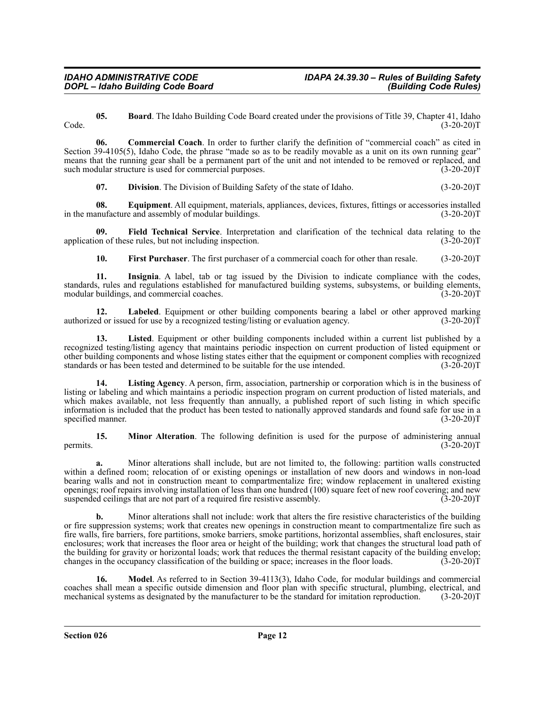<span id="page-11-0"></span>**05. Board**. The Idaho Building Code Board created under the provisions of Title 39, Chapter 41, Idaho  $Code.$  (3-20-20) $T$  (3-20-20) $T$ 

**06. Commercial Coach**. In order to further clarify the definition of "commercial coach" as cited in Section 39-4105(5), Idaho Code, the phrase "made so as to be readily movable as a unit on its own running gear" means that the running gear shall be a permanent part of the unit and not intended to be removed or replaced, and<br>such modular structure is used for commercial purposes. (3-20-20) such modular structure is used for commercial purposes.

<span id="page-11-3"></span><span id="page-11-2"></span><span id="page-11-1"></span>**07. Division**. The Division of Building Safety of the state of Idaho. (3-20-20)T

**08.** Equipment. All equipment, materials, appliances, devices, fixtures, fittings or accessories installed anufacture and assembly of modular buildings. (3-20-20) in the manufacture and assembly of modular buildings.

**09.** Field Technical Service. Interpretation and clarification of the technical data relating to the on of these rules, but not including inspection. (3-20-20) application of these rules, but not including inspection.

<span id="page-11-7"></span><span id="page-11-6"></span><span id="page-11-5"></span><span id="page-11-4"></span>**10. First Purchaser**. The first purchaser of a commercial coach for other than resale. (3-20-20)T

**11. Insignia**. A label, tab or tag issued by the Division to indicate compliance with the codes, standards, rules and regulations established for manufactured building systems, subsystems, or building elements, modular buildings, and commercial coaches. (3-20-20) modular buildings, and commercial coaches.

**12. Labeled**. Equipment or other building components bearing a label or other approved marking authorized or issued for use by a recognized testing/listing or evaluation agency. (3-20-20)T

<span id="page-11-8"></span>**13. Listed**. Equipment or other building components included within a current list published by a recognized testing/listing agency that maintains periodic inspection on current production of listed equipment or other building components and whose listing states either that the equipment or component complies with recognized standards or has been tested and determined to be suitable for the use intended. (3-20-20)T

<span id="page-11-9"></span>**14. Listing Agency**. A person, firm, association, partnership or corporation which is in the business of listing or labeling and which maintains a periodic inspection program on current production of listed materials, and which makes available, not less frequently than annually, a published report of such listing in which specific information is included that the product has been tested to nationally approved standards and found safe for use in a specified manner. (3-20-20)T

<span id="page-11-10"></span>**15. Minor Alteration**. The following definition is used for the purpose of administering annual permits.  $(3\overline{-}20-20)T$ 

**a.** Minor alterations shall include, but are not limited to, the following: partition walls constructed within a defined room; relocation of or existing openings or installation of new doors and windows in non-load bearing walls and not in construction meant to compartmentalize fire; window replacement in unaltered existing openings; roof repairs involving installation of less than one hundred (100) square feet of new roof covering; and new suspended ceilings that are not part of a required fire resistive assembly. (3-20-20)T

**b.** Minor alterations shall not include: work that alters the fire resistive characteristics of the building or fire suppression systems; work that creates new openings in construction meant to compartmentalize fire such as fire walls, fire barriers, fore partitions, smoke barriers, smoke partitions, horizontal assemblies, shaft enclosures, stair enclosures; work that increases the floor area or height of the building; work that changes the structural load path of the building for gravity or horizontal loads; work that reduces the thermal resistant capacity of the building envelop; changes in the occupancy classification of the building or space; increases in the floor loads. (3-20-20)T

<span id="page-11-11"></span>**16. Model**. As referred to in Section 39-4113(3), Idaho Code, for modular buildings and commercial coaches shall mean a specific outside dimension and floor plan with specific structural, plumbing, electrical, and mechanical systems as designated by the manufacturer to be the standard for imitation reproduction. (3-20-20)T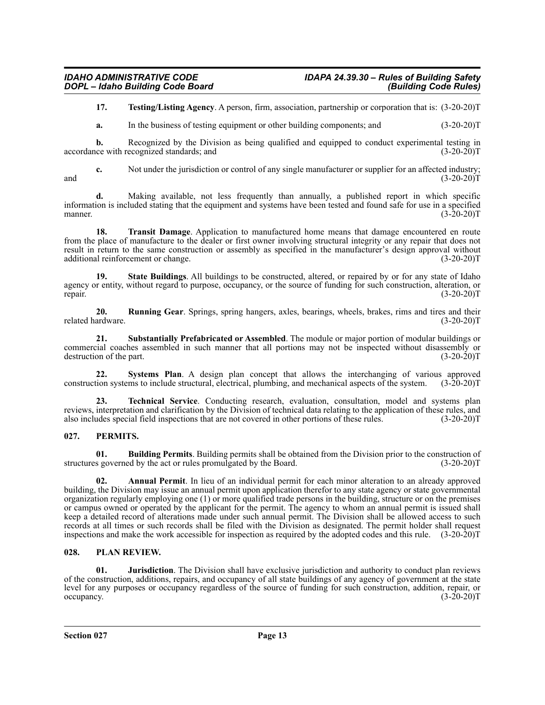<span id="page-12-7"></span>**17. Testing/Listing Agency**. A person, firm, association, partnership or corporation that is: (3-20-20)T

**a.** In the business of testing equipment or other building components; and  $(3-20-20)$ T

**b.** Recognized by the Division as being qualified and equipped to conduct experimental testing in  $\arccor$  accordance with recognized standards; and  $(3-20-20)T$ 

**c.** Not under the jurisdiction or control of any single manufacturer or supplier for an affected industry; and  $(3-20-20)T$ 

**d.** Making available, not less frequently than annually, a published report in which specific information is included stating that the equipment and systems have been tested and found safe for use in a specified manner.  $(3-20-20)T$ 

<span id="page-12-8"></span>**18. Transit Damage**. Application to manufactured home means that damage encountered en route from the place of manufacture to the dealer or first owner involving structural integrity or any repair that does not result in return to the same construction or assembly as specified in the manufacturer's design approval without additional reinforcement or change. (3-20-20)T

<span id="page-12-3"></span>**19. State Buildings**. All buildings to be constructed, altered, or repaired by or for any state of Idaho agency or entity, without regard to purpose, occupancy, or the source of funding for such construction, alteration, or repair. (3-20-20) repair. (3-20-20)T

<span id="page-12-2"></span>**20. Running Gear**. Springs, spring hangers, axles, bearings, wheels, brakes, rims and tires and their related hardware. (3-20-20)T

<span id="page-12-4"></span>**21. Substantially Prefabricated or Assembled**. The module or major portion of modular buildings or commercial coaches assembled in such manner that all portions may not be inspected without disassembly or destruction of the part. (3-20-20) destruction of the part.

<span id="page-12-5"></span>**22.** Systems Plan. A design plan concept that allows the interchanging of various approved tion systems to include structural, electrical, plumbing, and mechanical aspects of the system. (3-20-20)T construction systems to include structural, electrical, plumbing, and mechanical aspects of the system.

<span id="page-12-6"></span>**23. Technical Service**. Conducting research, evaluation, consultation, model and systems plan reviews, interpretation and clarification by the Division of technical data relating to the application of these rules, and also includes special field inspections that are not covered in other portions of these rules. (3-20-20)T

#### <span id="page-12-9"></span><span id="page-12-0"></span>**027. PERMITS.**

<span id="page-12-11"></span>**01. Building Permits**. Building permits shall be obtained from the Division prior to the construction of structures governed by the act or rules promulgated by the Board. (3-20-20)T

<span id="page-12-10"></span>**02. Annual Permit**. In lieu of an individual permit for each minor alteration to an already approved building, the Division may issue an annual permit upon application therefor to any state agency or state governmental organization regularly employing one (1) or more qualified trade persons in the building, structure or on the premises or campus owned or operated by the applicant for the permit. The agency to whom an annual permit is issued shall keep a detailed record of alterations made under such annual permit. The Division shall be allowed access to such records at all times or such records shall be filed with the Division as designated. The permit holder shall request inspections and make the work accessible for inspection as required by the adopted codes and this rule.  $(3-20-20)T$ 

#### <span id="page-12-12"></span><span id="page-12-1"></span>**028. PLAN REVIEW.**

<span id="page-12-13"></span>**01. Jurisdiction**. The Division shall have exclusive jurisdiction and authority to conduct plan reviews of the construction, additions, repairs, and occupancy of all state buildings of any agency of government at the state level for any purposes or occupancy regardless of the source of funding for such construction, addition, repair, or occupancy.  $(3-20-20)T$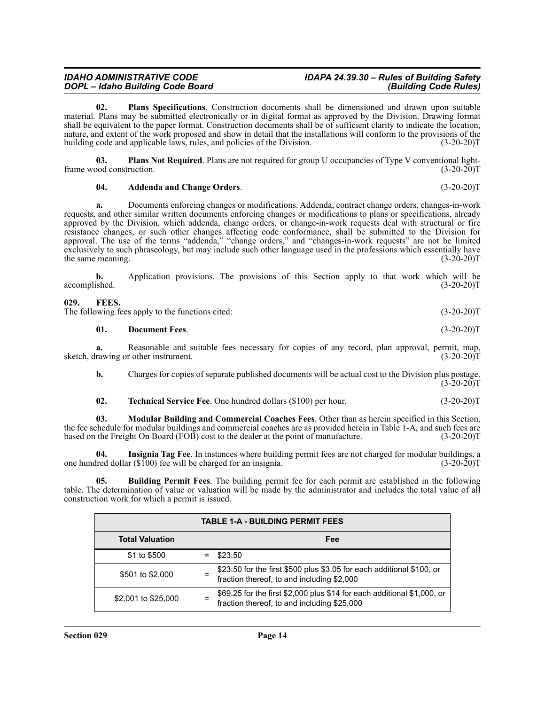<span id="page-13-9"></span>**02. Plans Specifications**. Construction documents shall be dimensioned and drawn upon suitable material. Plans may be submitted electronically or in digital format as approved by the Division. Drawing format shall be equivalent to the paper format. Construction documents shall be of sufficient clarity to indicate the location, nature, and extent of the work proposed and show in detail that the installations will conform to the provisions of the building code and applicable laws, rules, and policies of the Division. (3-20-20)T

**03.** Plans Not Required. Plans are not required for group U occupancies of Type V conventional light-<br>03-20-201 frame wood construction.

#### <span id="page-13-8"></span><span id="page-13-7"></span>**04. Addenda and Change Orders**. (3-20-20)T

**a.** Documents enforcing changes or modifications. Addenda, contract change orders, changes-in-work requests, and other similar written documents enforcing changes or modifications to plans or specifications, already approved by the Division, which addenda, change orders, or change-in-work requests deal with structural or fire resistance changes, or such other changes affecting code conformance, shall be submitted to the Division for approval. The use of the terms "addenda," "change orders," and "changes-in-work requests" are not be limited exclusively to such phraseology, but may include such other language used in the professions which essentially have the same meaning. (3-20-20)T

**b.** Application provisions. The provisions of this Section apply to that work which will be accomplished. (3-20-20)T

#### <span id="page-13-1"></span><span id="page-13-0"></span>**029. FEES.**

The following fees apply to the functions cited: (3-20-20)T

#### <span id="page-13-3"></span>**01. Document Fees**. (3-20-20)T

**a.** Reasonable and suitable fees necessary for copies of any record, plan approval, permit, map, rawing or other instrument. (3-20-20) sketch, drawing or other instrument.

**b.** Charges for copies of separate published documents will be actual cost to the Division plus postage.  $(3-20-20)$ T

<span id="page-13-6"></span><span id="page-13-5"></span><span id="page-13-4"></span>

| 02. | <b>Technical Service Fee.</b> One hundred dollars (\$100) per hour. | $(3-20-20)T$ |
|-----|---------------------------------------------------------------------|--------------|
|-----|---------------------------------------------------------------------|--------------|

**03. Modular Building and Commercial Coaches Fees**. Other than as herein specified in this Section, the fee schedule for modular buildings and commercial coaches are as provided herein in Table 1-A, and such fees are based on the Freight On Board (FOB) cost to the dealer at the point of manufacture. (3-20-20)T

**04. Insignia Tag Fee**. In instances where building permit fees are not charged for modular buildings, a one hundred dollar  $(\$100)$  fee will be charged for an insignia. (3-20-20)T

**05. Building Permit Fees**. The building permit fee for each permit are established in the following table. The determination of value or valuation will be made by the administrator and includes the total value of all construction work for which a permit is issued.

<span id="page-13-2"></span>

| <b>TABLE 1-A - BUILDING PERMIT FEES</b> |  |                                                                                                                        |  |  |
|-----------------------------------------|--|------------------------------------------------------------------------------------------------------------------------|--|--|
| <b>Total Valuation</b>                  |  | Fee                                                                                                                    |  |  |
| \$1 to \$500                            |  | \$23.50                                                                                                                |  |  |
| \$501 to \$2,000                        |  | \$23.50 for the first \$500 plus \$3.05 for each additional \$100, or fraction thereof, to and including \$2,000       |  |  |
| \$2,001 to \$25,000                     |  | \$69.25 for the first \$2,000 plus \$14 for each additional \$1,000, or<br>fraction thereof, to and including \$25,000 |  |  |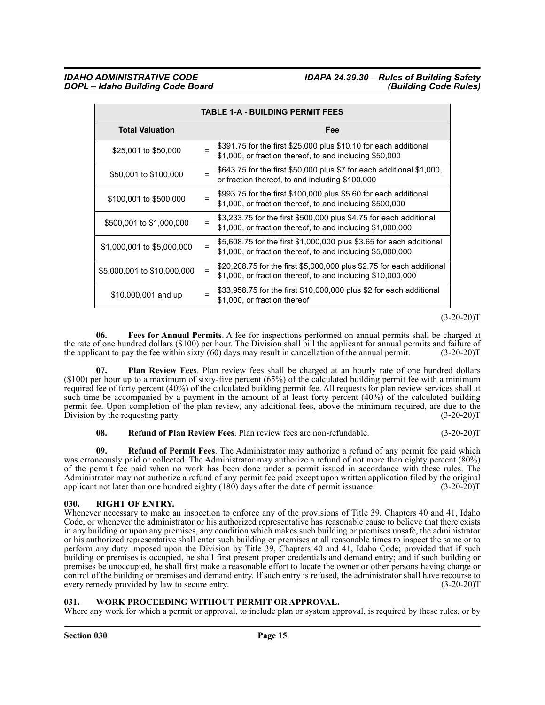## *IDAHO ADMINISTRATIVE CODE IDAPA 24.39.30 – Rules of Building Safety*

| <b>TABLE 1-A - BUILDING PERMIT FEES</b> |  |                                                                                                                                      |  |  |
|-----------------------------------------|--|--------------------------------------------------------------------------------------------------------------------------------------|--|--|
| <b>Total Valuation</b>                  |  | Fee                                                                                                                                  |  |  |
| \$25,001 to \$50,000                    |  | \$391.75 for the first \$25,000 plus \$10.10 for each additional<br>\$1,000, or fraction thereof, to and including \$50,000          |  |  |
| \$50,001 to \$100,000                   |  | \$643.75 for the first \$50,000 plus \$7 for each additional \$1,000,<br>or fraction thereof, to and including \$100,000             |  |  |
| \$100,001 to \$500,000                  |  | \$993.75 for the first \$100,000 plus \$5.60 for each additional<br>\$1,000, or fraction thereof, to and including \$500,000         |  |  |
| \$500,001 to \$1,000,000                |  | \$3,233.75 for the first \$500,000 plus \$4.75 for each additional<br>\$1,000, or fraction thereof, to and including \$1,000,000     |  |  |
| \$1,000,001 to \$5,000,000              |  | \$5,608.75 for the first \$1,000,000 plus \$3.65 for each additional<br>\$1,000, or fraction thereof, to and including \$5,000,000   |  |  |
| \$5,000,001 to \$10,000,000             |  | \$20,208.75 for the first \$5,000,000 plus \$2.75 for each additional<br>\$1,000, or fraction thereof, to and including \$10,000,000 |  |  |
| \$10,000,001 and up                     |  | \$33,958.75 for the first \$10,000,000 plus \$2 for each additional<br>\$1,000, or fraction thereof                                  |  |  |

#### $(3-20-20)T$

<span id="page-14-2"></span>**06. Fees for Annual Permits**. A fee for inspections performed on annual permits shall be charged at the rate of one hundred dollars (\$100) per hour. The Division shall bill the applicant for annual permits and failure of the applicant to pay the fee within sixty (60) days may result in cancellation of the annual permit. the applicant to pay the fee within sixty  $(60)$  days may result in cancellation of the annual permit.

<span id="page-14-3"></span>**07. Plan Review Fees**. Plan review fees shall be charged at an hourly rate of one hundred dollars (\$100) per hour up to a maximum of sixty-five percent (65%) of the calculated building permit fee with a minimum required fee of forty percent (40%) of the calculated building permit fee. All requests for plan review services shall at such time be accompanied by a payment in the amount of at least forty percent  $(40\%)$  of the calculated building permit fee. Upon completion of the plan review, any additional fees, above the minimum required, are due to the Division by the requesting party. (3-20-20) Division by the requesting party.

#### <span id="page-14-5"></span><span id="page-14-4"></span>**08. Refund of Plan Review Fees**. Plan review fees are non-refundable. (3-20-20)T

**09. Refund of Permit Fees**. The Administrator may authorize a refund of any permit fee paid which was erroneously paid or collected. The Administrator may authorize a refund of not more than eighty percent (80%) of the permit fee paid when no work has been done under a permit issued in accordance with these rules. The Administrator may not authorize a refund of any permit fee paid except upon written application filed by the original applicant not later than one hundred eighty (180) days after the date of permit issuance. (3-20-2007) applicant not later than one hundred eighty  $(180)$  days after the date of permit issuance.

#### <span id="page-14-6"></span><span id="page-14-0"></span>**030. RIGHT OF ENTRY.**

Whenever necessary to make an inspection to enforce any of the provisions of Title 39, Chapters 40 and 41, Idaho Code, or whenever the administrator or his authorized representative has reasonable cause to believe that there exists in any building or upon any premises, any condition which makes such building or premises unsafe, the administrator or his authorized representative shall enter such building or premises at all reasonable times to inspect the same or to perform any duty imposed upon the Division by Title 39, Chapters 40 and 41, Idaho Code; provided that if such building or premises is occupied, he shall first present proper credentials and demand entry; and if such building or premises be unoccupied, he shall first make a reasonable effort to locate the owner or other persons having charge or control of the building or premises and demand entry. If such entry is refused, the administrator shall have recourse to every remedy provided by law to secure entry. (3-20-20)T

#### <span id="page-14-7"></span><span id="page-14-1"></span>**031. WORK PROCEEDING WITHOUT PERMIT OR APPROVAL.**

Where any work for which a permit or approval, to include plan or system approval, is required by these rules, or by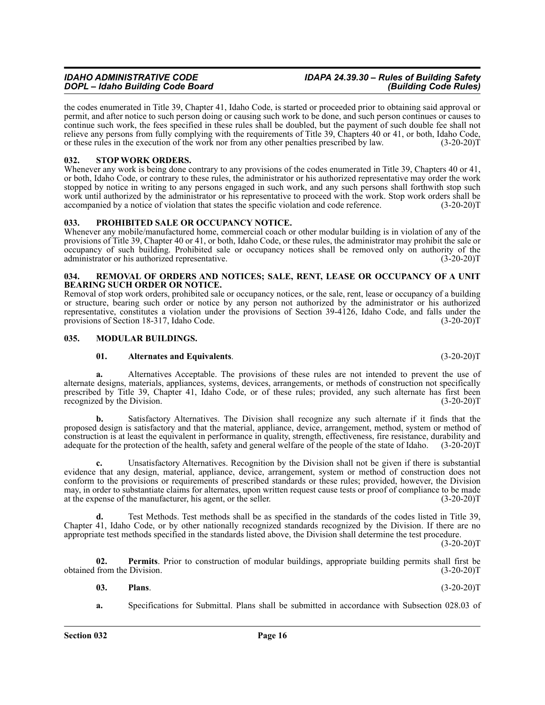the codes enumerated in Title 39, Chapter 41, Idaho Code, is started or proceeded prior to obtaining said approval or permit, and after notice to such person doing or causing such work to be done, and such person continues or causes to continue such work, the fees specified in these rules shall be doubled, but the payment of such double fee shall not relieve any persons from fully complying with the requirements of Title 39, Chapters 40 or 41, or both, Idaho Code, or these rules in the execution of the work nor from any other penalties prescribed by law. (3-20-20)T

#### <span id="page-15-10"></span><span id="page-15-0"></span>**032. STOP WORK ORDERS.**

Whenever any work is being done contrary to any provisions of the codes enumerated in Title 39, Chapters 40 or 41, or both, Idaho Code, or contrary to these rules, the administrator or his authorized representative may order the work stopped by notice in writing to any persons engaged in such work, and any such persons shall forthwith stop such work until authorized by the administrator or his representative to proceed with the work. Stop work orders shall be accompanied by a notice of violation that states the specific violation and code reference. (3-20-20)T

#### <span id="page-15-8"></span><span id="page-15-1"></span>**033. PROHIBITED SALE OR OCCUPANCY NOTICE.**

Whenever any mobile/manufactured home, commercial coach or other modular building is in violation of any of the provisions of Title 39, Chapter 40 or 41, or both, Idaho Code, or these rules, the administrator may prohibit the sale or occupancy of such building. Prohibited sale or occupancy notices shall be removed only on authority of the administrator or his authorized representative. (3-20-20)T

#### <span id="page-15-9"></span><span id="page-15-2"></span>**034. REMOVAL OF ORDERS AND NOTICES; SALE, RENT, LEASE OR OCCUPANCY OF A UNIT BEARING SUCH ORDER OR NOTICE.**

Removal of stop work orders, prohibited sale or occupancy notices, or the sale, rent, lease or occupancy of a building or structure, bearing such order or notice by any person not authorized by the administrator or his authorized representative, constitutes a violation under the provisions of Section 39-4126, Idaho Code, and falls under the provisions of Section 18-317, Idaho Code. (3-20-20)T

#### <span id="page-15-3"></span>**035. MODULAR BUILDINGS.**

#### <span id="page-15-5"></span><span id="page-15-4"></span>**01. Alternates and Equivalents**. (3-20-20)T

**a.** Alternatives Acceptable. The provisions of these rules are not intended to prevent the use of alternate designs, materials, appliances, systems, devices, arrangements, or methods of construction not specifically prescribed by Title 39, Chapter 41, Idaho Code, or of these rules; provided, any such alternate has first been<br>recognized by the Division. (3-20-20)T recognized by the Division.

**b.** Satisfactory Alternatives. The Division shall recognize any such alternate if it finds that the proposed design is satisfactory and that the material, appliance, device, arrangement, method, system or method of construction is at least the equivalent in performance in quality, strength, effectiveness, fire resistance, durability and adequate for the protection of the health, safety and general welfare of the people of the state of Idaho. (3-20-20)T

**c.** Unsatisfactory Alternatives. Recognition by the Division shall not be given if there is substantial evidence that any design, material, appliance, device, arrangement, system or method of construction does not conform to the provisions or requirements of prescribed standards or these rules; provided, however, the Division may, in order to substantiate claims for alternates, upon written request cause tests or proof of compliance to be made at the expense of the manufacturer, his agent, or the seller. (3-20-20)T

**d.** Test Methods. Test methods shall be as specified in the standards of the codes listed in Title 39, Chapter 41, Idaho Code, or by other nationally recognized standards recognized by the Division. If there are no appropriate test methods specified in the standards listed above, the Division shall determine the test procedure.

 $(3-20-20)T$ 

**02. Permits**. Prior to construction of modular buildings, appropriate building permits shall first be obtained from the Division. (3-20-20)T

<span id="page-15-7"></span><span id="page-15-6"></span>**03. Plans**. (3-20-20)T

**a.** Specifications for Submittal. Plans shall be submitted in accordance with Subsection 028.03 of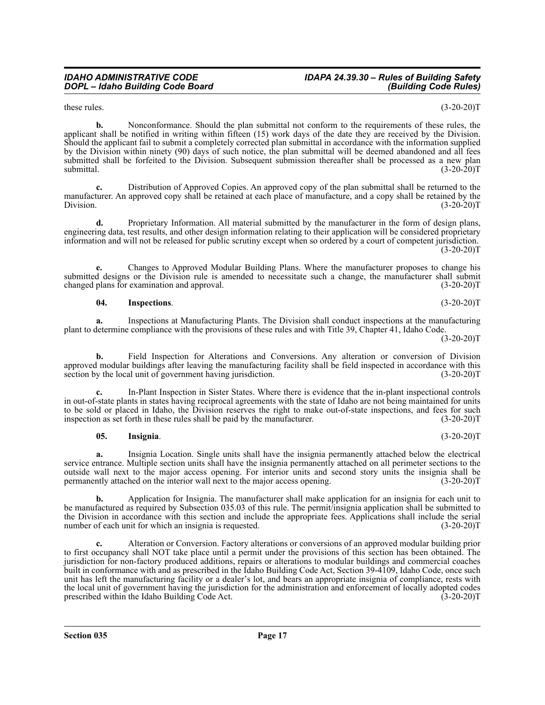### *IDAHO ADMINISTRATIVE CODE IDAPA 24.39.30 – Rules of Building Safety*

these rules.  $(3-20-20)T$ 

**b.** Nonconformance. Should the plan submittal not conform to the requirements of these rules, the applicant shall be notified in writing within fifteen (15) work days of the date they are received by the Division. Should the applicant fail to submit a completely corrected plan submittal in accordance with the information supplied by the Division within ninety (90) days of such notice, the plan submittal will be deemed abandoned and all fees submitted shall be forfeited to the Division. Subsequent submission thereafter shall be processed as a new plan submittal.  $(3-20-20)T$ 

**c.** Distribution of Approved Copies. An approved copy of the plan submittal shall be returned to the manufacturer. An approved copy shall be retained at each place of manufacture, and a copy shall be retained by the Division.  $(3-20-20)T$ 

**d.** Proprietary Information. All material submitted by the manufacturer in the form of design plans, engineering data, test results, and other design information relating to their application will be considered proprietary information and will not be released for public scrutiny except when so ordered by a court of competent jurisdiction.  $(3-20-20)T$ 

**e.** Changes to Approved Modular Building Plans. Where the manufacturer proposes to change his submitted designs or the Division rule is amended to necessitate such a change, the manufacturer shall submit changed plans for examination and approval. (3-20-20)T

<span id="page-16-1"></span>**04. Inspections**. (3-20-20)T

**a.** Inspections at Manufacturing Plants. The Division shall conduct inspections at the manufacturing plant to determine compliance with the provisions of these rules and with Title 39, Chapter 41, Idaho Code.

 $(3-20-20)T$ 

**b.** Field Inspection for Alterations and Conversions. Any alteration or conversion of Division approved modular buildings after leaving the manufacturing facility shall be field inspected in accordance with this section by the local unit of government having jurisdiction. (3-20-20) section by the local unit of government having jurisdiction.

**c.** In-Plant Inspection in Sister States. Where there is evidence that the in-plant inspectional controls in out-of-state plants in states having reciprocal agreements with the state of Idaho are not being maintained for units to be sold or placed in Idaho, the Division reserves the right to make out-of-state inspections, and fees for such inspection as set forth in these rules shall be paid by the manufacturer. (3-20-20)T

#### <span id="page-16-0"></span>**05. Insignia**. (3-20-20)T

**a.** Insignia Location. Single units shall have the insignia permanently attached below the electrical service entrance. Multiple section units shall have the insignia permanently attached on all perimeter sections to the outside wall next to the major access opening. For interior units and second story units the insignia shall be permanently attached on the interior wall next to the major access opening. (3-20-20)T

**b.** Application for Insignia. The manufacturer shall make application for an insignia for each unit to be manufactured as required by Subsection 035.03 of this rule. The permit/insignia application shall be submitted to the Division in accordance with this section and include the appropriate fees. Applications shall include the serial number of each unit for which an insignia is requested. (3-20-20)T

**c.** Alteration or Conversion. Factory alterations or conversions of an approved modular building prior to first occupancy shall NOT take place until a permit under the provisions of this section has been obtained. The jurisdiction for non-factory produced additions, repairs or alterations to modular buildings and commercial coaches built in conformance with and as prescribed in the Idaho Building Code Act, Section 39-4109, Idaho Code, once such unit has left the manufacturing facility or a dealer's lot, and bears an appropriate insignia of compliance, rests with the local unit of government having the jurisdiction for the administration and enforcement of locally adopted codes prescribed within the Idaho Building Code Act. (3-20-20) prescribed within the Idaho Building Code Act.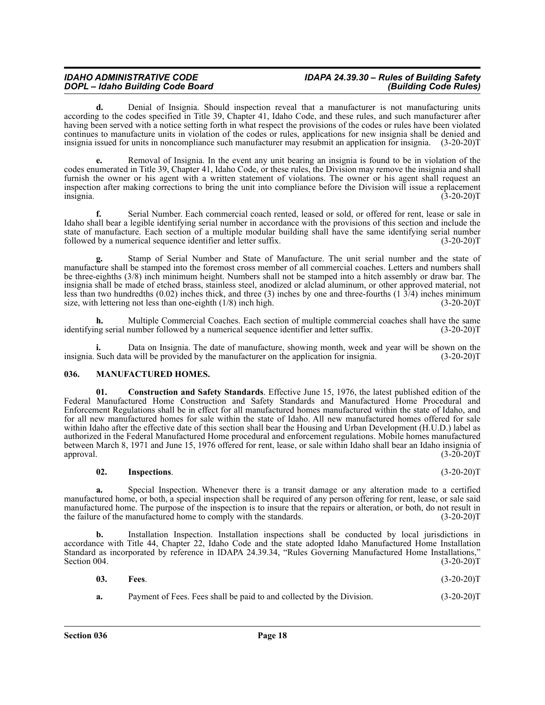## *IDAHO ADMINISTRATIVE CODE IDAPA 24.39.30 – Rules of Building Safety*

**d.** Denial of Insignia. Should inspection reveal that a manufacturer is not manufacturing units according to the codes specified in Title 39, Chapter 41, Idaho Code, and these rules, and such manufacturer after having been served with a notice setting forth in what respect the provisions of the codes or rules have been violated continues to manufacture units in violation of the codes or rules, applications for new insignia shall be denied and insignia issued for units in noncompliance such manufacturer may resubmit an application for insignia. (3-20-20)T

**e.** Removal of Insignia. In the event any unit bearing an insignia is found to be in violation of the codes enumerated in Title 39, Chapter 41, Idaho Code, or these rules, the Division may remove the insignia and shall furnish the owner or his agent with a written statement of violations. The owner or his agent shall request an inspection after making corrections to bring the unit into compliance before the Division will issue a replacement insignia. (3-20-20)T

**f.** Serial Number. Each commercial coach rented, leased or sold, or offered for rent, lease or sale in Idaho shall bear a legible identifying serial number in accordance with the provisions of this section and include the state of manufacture. Each section of a multiple modular building shall have the same identifying serial number followed by a numerical sequence identifier and letter suffix. (3-20-20)T

**g.** Stamp of Serial Number and State of Manufacture. The unit serial number and the state of manufacture shall be stamped into the foremost cross member of all commercial coaches. Letters and numbers shall be three-eighths (3/8) inch minimum height. Numbers shall not be stamped into a hitch assembly or draw bar. The insignia shall be made of etched brass, stainless steel, anodized or alclad aluminum, or other approved material, not less than two hundredths (0.02) inches thick, and three (3) inches by one and three-fourths (1  $3/4$ ) inches minimum size, with lettering not less than one-eighth (1/8) inch high. (3-20-20) size, with lettering not less than one-eighth  $(1/8)$  inch high.

**h.** Multiple Commercial Coaches. Each section of multiple commercial coaches shall have the same no serial number followed by a numerical sequence identifier and letter suffix. (3-20-20) identifying serial number followed by a numerical sequence identifier and letter suffix.

Data on Insignia. The date of manufacture, showing month, week and year will be shown on the a will be provided by the manufacturer on the application for insignia. (3-20-20)<sup>T</sup> insignia. Such data will be provided by the manufacturer on the application for insignia.

#### <span id="page-17-1"></span><span id="page-17-0"></span>**036. MANUFACTURED HOMES.**

<span id="page-17-2"></span>**01. Construction and Safety Standards**. Effective June 15, 1976, the latest published edition of the Federal Manufactured Home Construction and Safety Standards and Manufactured Home Procedural and Enforcement Regulations shall be in effect for all manufactured homes manufactured within the state of Idaho, and for all new manufactured homes for sale within the state of Idaho. All new manufactured homes offered for sale within Idaho after the effective date of this section shall bear the Housing and Urban Development (H.U.D.) label as authorized in the Federal Manufactured Home procedural and enforcement regulations. Mobile homes manufactured between March 8, 1971 and June 15, 1976 offered for rent, lease, or sale within Idaho shall bear an Idaho insignia of approval. (3-20-20)T approval.  $(3-2\bar{0}-20)T$ 

#### <span id="page-17-4"></span>**02. Inspections**. (3-20-20)T

**a.** Special Inspection. Whenever there is a transit damage or any alteration made to a certified manufactured home, or both, a special inspection shall be required of any person offering for rent, lease, or sale said manufactured home. The purpose of the inspection is to insure that the repairs or alteration, or both, do not result in the failure of the manufactured home to comply with the standards. (3-20-20)T

**b.** Installation Inspection. Installation inspections shall be conducted by local jurisdictions in accordance with Title 44, Chapter 22, Idaho Code and the state adopted Idaho Manufactured Home Installation Standard as incorporated by reference in IDAPA 24.39.34, "Rules Governing Manufactured Home Installations," Section 004. (3-20-20)T

<span id="page-17-3"></span>

| 03. | Fees.                                                                 | $(3-20-20)T$ |
|-----|-----------------------------------------------------------------------|--------------|
| а.  | Payment of Fees. Fees shall be paid to and collected by the Division. | $(3-20-20)T$ |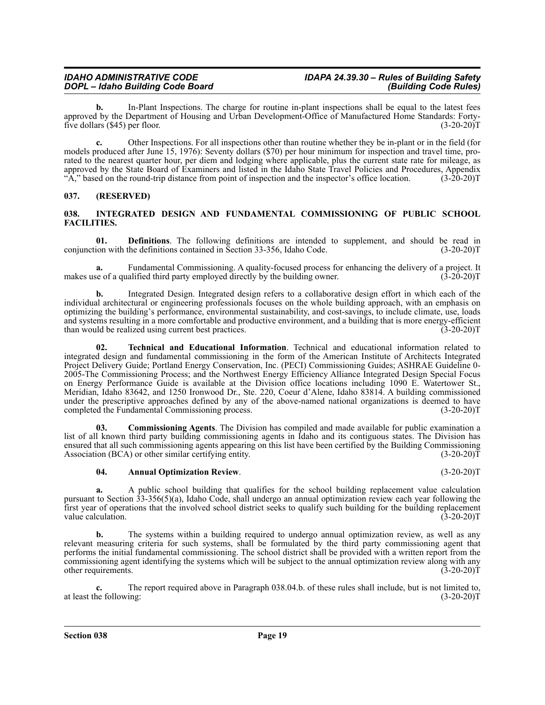**b.** In-Plant Inspections. The charge for routine in-plant inspections shall be equal to the latest fees approved by the Department of Housing and Urban Development-Office of Manufactured Home Standards: Fortyfive dollars (\$45) per floor. (3-20-20)T

**c.** Other Inspections. For all inspections other than routine whether they be in-plant or in the field (for models produced after June 15, 1976): Seventy dollars (\$70) per hour minimum for inspection and travel time, prorated to the nearest quarter hour, per diem and lodging where applicable, plus the current state rate for mileage, as approved by the State Board of Examiners and listed in the Idaho State Travel Policies and Procedures, Appendix "A," based on the round-trip distance from point of inspection and the inspector's office location.  $(3\text{-}20\text{-}20)\text{T}$ 

#### <span id="page-18-0"></span>**037. (RESERVED)**

#### <span id="page-18-2"></span><span id="page-18-1"></span>**038. INTEGRATED DESIGN AND FUNDAMENTAL COMMISSIONING OF PUBLIC SCHOOL FACILITIES.**

<span id="page-18-5"></span>**01. Definitions**. The following definitions are intended to supplement, and should be read in ion with the definitions contained in Section 33-356, Idaho Code. (3-20-20) conjunction with the definitions contained in Section 33-356, Idaho Code.

**a.** Fundamental Commissioning. A quality-focused process for enhancing the delivery of a project. It makes use of a qualified third party employed directly by the building owner.

**b.** Integrated Design. Integrated design refers to a collaborative design effort in which each of the individual architectural or engineering professionals focuses on the whole building approach, with an emphasis on optimizing the building's performance, environmental sustainability, and cost-savings, to include climate, use, loads and systems resulting in a more comfortable and productive environment, and a building that is more energy-efficient than would be realized using current best practices. (3-20-20) than would be realized using current best practices.

<span id="page-18-6"></span>**02. Technical and Educational Information**. Technical and educational information related to integrated design and fundamental commissioning in the form of the American Institute of Architects Integrated Project Delivery Guide; Portland Energy Conservation, Inc. (PECI) Commissioning Guides; ASHRAE Guideline 0- 2005-The Commissioning Process; and the Northwest Energy Efficiency Alliance Integrated Design Special Focus on Energy Performance Guide is available at the Division office locations including 1090 E. Watertower St., Meridian, Idaho 83642, and 1250 Ironwood Dr., Ste. 220, Coeur d'Alene, Idaho 83814. A building commissioned under the prescriptive approaches defined by any of the above-named national organizations is deemed to have completed the Fundamental Commissioning process. (3-20-20) completed the Fundamental Commissioning process.

**03. Commissioning Agents**. The Division has compiled and made available for public examination a list of all known third party building commissioning agents in Idaho and its contiguous states. The Division has ensured that all such commissioning agents appearing on this list have been certified by the Building Commissioning<br>Association (BCA) or other similar certifying entity. (3-20-20) Association (BCA) or other similar certifying entity.

#### <span id="page-18-4"></span><span id="page-18-3"></span>**04. Annual Optimization Review**. (3-20-20)T

**a.** A public school building that qualifies for the school building replacement value calculation pursuant to Section 33-356(5)(a), Idaho Code, shall undergo an annual optimization review each year following the first year of operations that the involved school district seeks to qualify such building for the building replacement value calculation. (3-20-20)T

**b.** The systems within a building required to undergo annual optimization review, as well as any relevant measuring criteria for such systems, shall be formulated by the third party commissioning agent that performs the initial fundamental commissioning. The school district shall be provided with a written report from the commissioning agent identifying the systems which will be subject to the annual optimization review along with any other requirements. (3-20-20)T

**c.** The report required above in Paragraph 038.04.b. of these rules shall include, but is not limited to, ne following: (3-20-20) at least the following:

**Section 038 Page 19**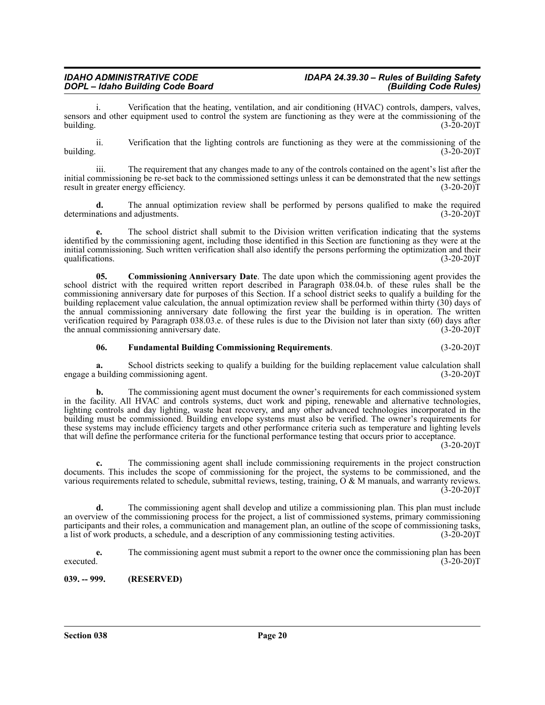Verification that the heating, ventilation, and air conditioning (HVAC) controls, dampers, valves, sensors and other equipment used to control the system are functioning as they were at the commissioning of the building. (3-20-20)T building.  $(3-20-20)T$ 

ii. Verification that the lighting controls are functioning as they were at the commissioning of the building.  $(3-20-20)T$ 

iii. The requirement that any changes made to any of the controls contained on the agent's list after the initial commissioning be re-set back to the commissioned settings unless it can be demonstrated that the new settings result in greater energy efficiency. (3-20-20) result in greater energy efficiency.

**d.** The annual optimization review shall be performed by persons qualified to make the required ations and adjustments. (3-20-20) determinations and adjustments.

**e.** The school district shall submit to the Division written verification indicating that the systems identified by the commissioning agent, including those identified in this Section are functioning as they were at the initial commissioning. Such written verification shall also identify the persons performing the optimization and their qualifications.  $(3-20-20)T$ 

<span id="page-19-1"></span>**05. Commissioning Anniversary Date**. The date upon which the commissioning agent provides the school district with the required written report described in Paragraph 038.04.b. of these rules shall be the commissioning anniversary date for purposes of this Section. If a school district seeks to qualify a building for the building replacement value calculation, the annual optimization review shall be performed within thirty (30) days of the annual commissioning anniversary date following the first year the building is in operation. The written verification required by Paragraph 038.03.e. of these rules is due to the Division not later than sixty (60) days after the annual commissioning anniversary date. (3-20-20) the annual commissioning anniversary date.

#### <span id="page-19-2"></span>**06. Fundamental Building Commissioning Requirements**. (3-20-20)T

**a.** School districts seeking to qualify a building for the building replacement value calculation shall building commissioning agent.  $(3-20-20)$ engage a building commissioning agent.

**b.** The commissioning agent must document the owner's requirements for each commissioned system in the facility. All HVAC and controls systems, duct work and piping, renewable and alternative technologies, lighting controls and day lighting, waste heat recovery, and any other advanced technologies incorporated in the building must be commissioned. Building envelope systems must also be verified. The owner's requirements for these systems may include efficiency targets and other performance criteria such as temperature and lighting levels that will define the performance criteria for the functional performance testing that occurs prior to acceptance.

 $(3-20-20)T$ 

**c.** The commissioning agent shall include commissioning requirements in the project construction documents. This includes the scope of commissioning for the project, the systems to be commissioned, and the various requirements related to schedule, submittal reviews, testing, training, O & M manuals, and warranty reviews.  $(3-20-20)$ T

**d.** The commissioning agent shall develop and utilize a commissioning plan. This plan must include an overview of the commissioning process for the project, a list of commissioned systems, primary commissioning participants and their roles, a communication and management plan, an outline of the scope of commissioning tasks, a list of work products, a schedule, and a description of any commissioning testing activities. (3-20-20)T a list of work products, a schedule, and a description of any commissioning testing activities.

**e.** The commissioning agent must submit a report to the owner once the commissioning plan has been  $e^{\frac{3}{2}(3-20-20)T}$  (3-20-20)T

<span id="page-19-0"></span>**039. -- 999. (RESERVED)**